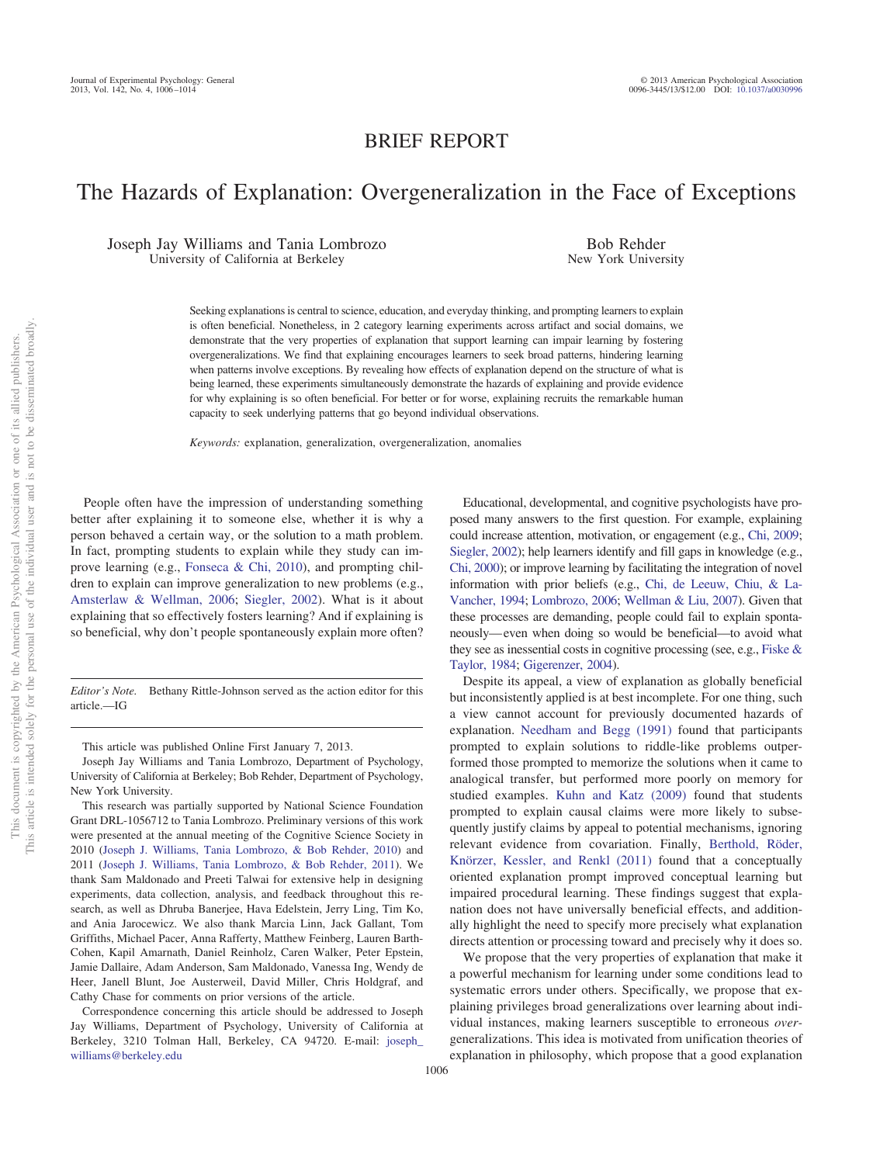## BRIEF REPORT

# The Hazards of Explanation: Overgeneralization in the Face of Exceptions

Joseph Jay Williams and Tania Lombrozo University of California at Berkeley

Bob Rehder New York University

Seeking explanations is central to science, education, and everyday thinking, and prompting learners to explain is often beneficial. Nonetheless, in 2 category learning experiments across artifact and social domains, we demonstrate that the very properties of explanation that support learning can impair learning by fostering overgeneralizations. We find that explaining encourages learners to seek broad patterns, hindering learning when patterns involve exceptions. By revealing how effects of explanation depend on the structure of what is being learned, these experiments simultaneously demonstrate the hazards of explaining and provide evidence for why explaining is so often beneficial. For better or for worse, explaining recruits the remarkable human capacity to seek underlying patterns that go beyond individual observations.

*Keywords:* explanation, generalization, overgeneralization, anomalies

People often have the impression of understanding something better after explaining it to someone else, whether it is why a person behaved a certain way, or the solution to a math problem. In fact, prompting students to explain while they study can improve learning (e.g., [Fonseca & Chi, 2010\)](#page-7-0), and prompting children to explain can improve generalization to new problems (e.g., [Amsterlaw & Wellman, 2006;](#page-7-1) [Siegler, 2002\)](#page-8-0). What is it about explaining that so effectively fosters learning? And if explaining is so beneficial, why don't people spontaneously explain more often?

*Editor's Note.* Bethany Rittle-Johnson served as the action editor for this article.—IG

This article was published Online First January 7, 2013.

Joseph Jay Williams and Tania Lombrozo, Department of Psychology, University of California at Berkeley; Bob Rehder, Department of Psychology, New York University.

This research was partially supported by National Science Foundation Grant DRL-1056712 to Tania Lombrozo. Preliminary versions of this work were presented at the annual meeting of the Cognitive Science Society in 2010 [\(Joseph J. Williams, Tania Lombrozo, & Bob Rehder, 2010\)](#page-8-2) and 2011 [\(Joseph J. Williams, Tania Lombrozo, & Bob Rehder, 2011\)](#page-8-3). We thank Sam Maldonado and Preeti Talwai for extensive help in designing experiments, data collection, analysis, and feedback throughout this research, as well as Dhruba Banerjee, Hava Edelstein, Jerry Ling, Tim Ko, and Ania Jarocewicz. We also thank Marcia Linn, Jack Gallant, Tom Griffiths, Michael Pacer, Anna Rafferty, Matthew Feinberg, Lauren Barth-Cohen, Kapil Amarnath, Daniel Reinholz, Caren Walker, Peter Epstein, Jamie Dallaire, Adam Anderson, Sam Maldonado, Vanessa Ing, Wendy de Heer, Janell Blunt, Joe Austerweil, David Miller, Chris Holdgraf, and Cathy Chase for comments on prior versions of the article.

Correspondence concerning this article should be addressed to Joseph Jay Williams, Department of Psychology, University of California at Berkeley, 3210 Tolman Hall, Berkeley, CA 94720. E-mail: [joseph\\_](mailto:joseph_williams@berkeley.edu) [williams@berkeley.edu](mailto:joseph_williams@berkeley.edu)

Educational, developmental, and cognitive psychologists have proposed many answers to the first question. For example, explaining could increase attention, motivation, or engagement (e.g., [Chi, 2009;](#page-7-2) [Siegler, 2002\)](#page-8-0); help learners identify and fill gaps in knowledge (e.g., [Chi, 2000\)](#page-7-3); or improve learning by facilitating the integration of novel information with prior beliefs (e.g., [Chi, de Leeuw, Chiu, & La-](#page-7-4)[Vancher, 1994;](#page-7-4) [Lombrozo, 2006;](#page-7-5) [Wellman & Liu, 2007\)](#page-8-1). Given that these processes are demanding, people could fail to explain spontaneously—even when doing so would be beneficial—to avoid what they see as inessential costs in cognitive processing (see, e.g., [Fiske &](#page-7-6) [Taylor, 1984;](#page-7-6) [Gigerenzer, 2004\)](#page-7-7).

Despite its appeal, a view of explanation as globally beneficial but inconsistently applied is at best incomplete. For one thing, such a view cannot account for previously documented hazards of explanation. [Needham and Begg \(1991\)](#page-7-8) found that participants prompted to explain solutions to riddle-like problems outperformed those prompted to memorize the solutions when it came to analogical transfer, but performed more poorly on memory for studied examples. [Kuhn and Katz \(2009\)](#page-7-9) found that students prompted to explain causal claims were more likely to subsequently justify claims by appeal to potential mechanisms, ignoring relevant evidence from covariation. Finally, [Berthold, Röder,](#page-7-10) [Knörzer, Kessler, and Renkl \(2011\)](#page-7-10) found that a conceptually oriented explanation prompt improved conceptual learning but impaired procedural learning. These findings suggest that explanation does not have universally beneficial effects, and additionally highlight the need to specify more precisely what explanation directs attention or processing toward and precisely why it does so.

We propose that the very properties of explanation that make it a powerful mechanism for learning under some conditions lead to systematic errors under others. Specifically, we propose that explaining privileges broad generalizations over learning about individual instances, making learners susceptible to erroneous *over*generalizations. This idea is motivated from unification theories of explanation in philosophy, which propose that a good explanation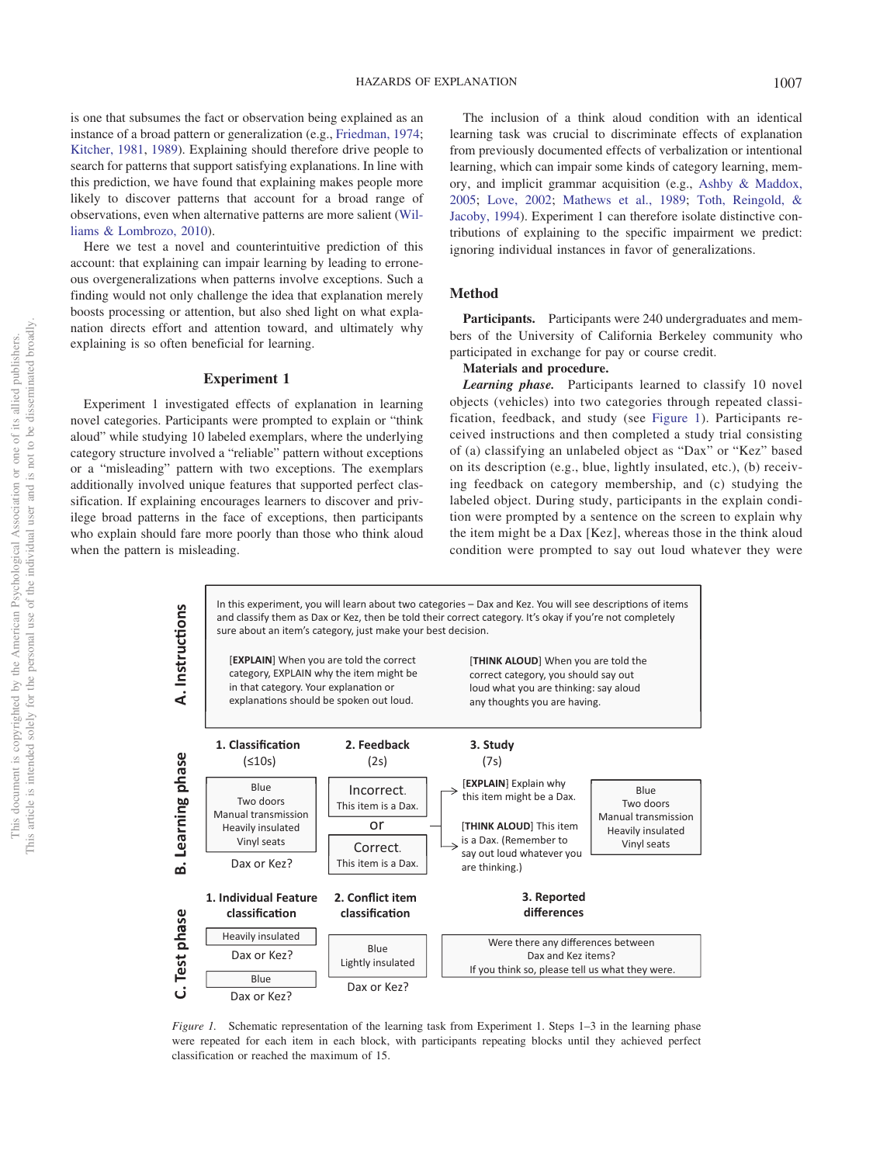is one that subsumes the fact or observation being explained as an instance of a broad pattern or generalization (e.g., [Friedman, 1974;](#page-7-11) [Kitcher, 1981,](#page-7-12) [1989\)](#page-7-13). Explaining should therefore drive people to search for patterns that support satisfying explanations. In line with this prediction, we have found that explaining makes people more likely to discover patterns that account for a broad range of observations, even when alternative patterns are more salient [\(Wil](#page-8-4)[liams & Lombrozo, 2010\)](#page-8-4).

Here we test a novel and counterintuitive prediction of this account: that explaining can impair learning by leading to erroneous overgeneralizations when patterns involve exceptions. Such a finding would not only challenge the idea that explanation merely boosts processing or attention, but also shed light on what explanation directs effort and attention toward, and ultimately why explaining is so often beneficial for learning.

#### **Experiment 1**

Experiment 1 investigated effects of explanation in learning novel categories. Participants were prompted to explain or "think aloud" while studying 10 labeled exemplars, where the underlying category structure involved a "reliable" pattern without exceptions or a "misleading" pattern with two exceptions. The exemplars additionally involved unique features that supported perfect classification. If explaining encourages learners to discover and privilege broad patterns in the face of exceptions, then participants who explain should fare more poorly than those who think aloud when the pattern is misleading.

The inclusion of a think aloud condition with an identical learning task was crucial to discriminate effects of explanation from previously documented effects of verbalization or intentional learning, which can impair some kinds of category learning, memory, and implicit grammar acquisition (e.g., [Ashby & Maddox,](#page-7-14) [2005;](#page-7-14) [Love, 2002;](#page-7-15) [Mathews et al., 1989;](#page-7-16) [Toth, Reingold, &](#page-8-5) [Jacoby, 1994\)](#page-8-5). Experiment 1 can therefore isolate distinctive contributions of explaining to the specific impairment we predict: ignoring individual instances in favor of generalizations.

#### **Method**

**Participants.** Participants were 240 undergraduates and members of the University of California Berkeley community who participated in exchange for pay or course credit.

#### **Materials and procedure.**

*Learning phase.* Participants learned to classify 10 novel objects (vehicles) into two categories through repeated classification, feedback, and study (see [Figure 1\)](#page-1-0). Participants received instructions and then completed a study trial consisting of (a) classifying an unlabeled object as "Dax" or "Kez" based on its description (e.g., blue, lightly insulated, etc.), (b) receiving feedback on category membership, and (c) studying the labeled object. During study, participants in the explain condition were prompted by a sentence on the screen to explain why the item might be a Dax [Kez], whereas those in the think aloud condition were prompted to say out loud whatever they were



<span id="page-1-0"></span>*Figure 1.* Schematic representation of the learning task from Experiment 1. Steps 1–3 in the learning phase were repeated for each item in each block, with participants repeating blocks until they achieved perfect classification or reached the maximum of 15.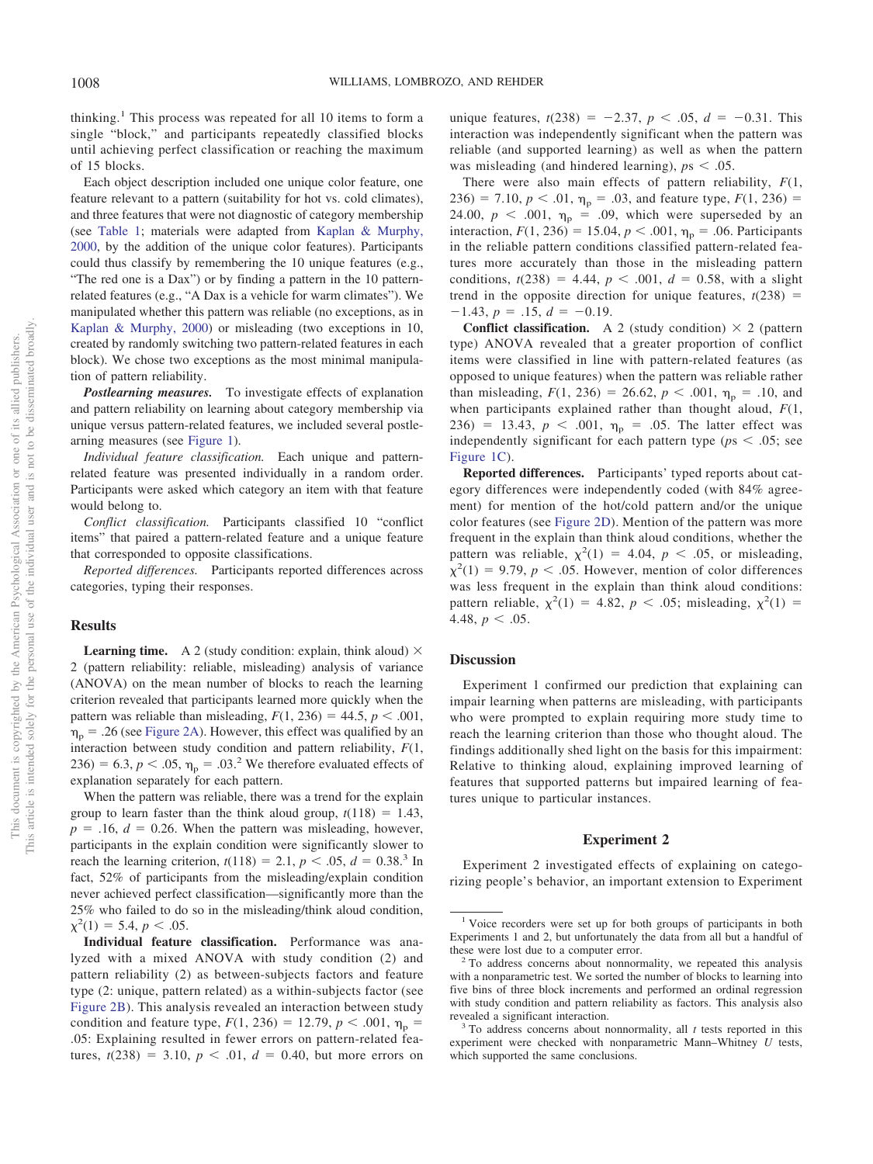thinking.<sup>1</sup> This process was repeated for all 10 items to form a single "block," and participants repeatedly classified blocks until achieving perfect classification or reaching the maximum of 15 blocks.

Each object description included one unique color feature, one feature relevant to a pattern (suitability for hot vs. cold climates), and three features that were not diagnostic of category membership (see [Table 1;](#page-3-0) materials were adapted from [Kaplan & Murphy,](#page-7-17) [2000,](#page-7-17) by the addition of the unique color features). Participants could thus classify by remembering the 10 unique features (e.g., "The red one is a Dax") or by finding a pattern in the 10 patternrelated features (e.g., "A Dax is a vehicle for warm climates"). We manipulated whether this pattern was reliable (no exceptions, as in [Kaplan & Murphy, 2000\)](#page-7-17) or misleading (two exceptions in 10, created by randomly switching two pattern-related features in each block). We chose two exceptions as the most minimal manipulation of pattern reliability.

*Postlearning measures.* To investigate effects of explanation and pattern reliability on learning about category membership via unique versus pattern-related features, we included several postlearning measures (see [Figure 1\)](#page-1-0).

*Individual feature classification.* Each unique and patternrelated feature was presented individually in a random order. Participants were asked which category an item with that feature would belong to.

*Conflict classification.* Participants classified 10 "conflict items" that paired a pattern-related feature and a unique feature that corresponded to opposite classifications.

*Reported differences.* Participants reported differences across categories, typing their responses.

#### **Results**

**Learning time.** A 2 (study condition: explain, think aloud)  $\times$ 2 (pattern reliability: reliable, misleading) analysis of variance (ANOVA) on the mean number of blocks to reach the learning criterion revealed that participants learned more quickly when the pattern was reliable than misleading,  $F(1, 236) = 44.5$ ,  $p < .001$ ,  $\eta_p$  = .26 (see [Figure 2A\)](#page-3-1). However, this effect was qualified by an interaction between study condition and pattern reliability, *F*(1,  $236$ ) = 6.3,  $p < .05$ ,  $\eta_p = .03$ .<sup>2</sup> We therefore evaluated effects of explanation separately for each pattern.

When the pattern was reliable, there was a trend for the explain group to learn faster than the think aloud group,  $t(118) = 1.43$ ,  $p = 0.16$ ,  $d = 0.26$ . When the pattern was misleading, however, participants in the explain condition were significantly slower to reach the learning criterion,  $t(118) = 2.1, p < .05, d = 0.38$ <sup>3</sup> In fact, 52% of participants from the misleading/explain condition never achieved perfect classification—significantly more than the 25% who failed to do so in the misleading/think aloud condition,  $\chi^2(1) = 5.4, p < .05.$ 

**Individual feature classification.** Performance was analyzed with a mixed ANOVA with study condition (2) and pattern reliability (2) as between-subjects factors and feature type (2: unique, pattern related) as a within-subjects factor (see [Figure 2B\)](#page-3-1). This analysis revealed an interaction between study condition and feature type,  $F(1, 236) = 12.79$ ,  $p < .001$ ,  $\eta_p =$ .05: Explaining resulted in fewer errors on pattern-related features,  $t(238) = 3.10, p < .01, d = 0.40$ , but more errors on

unique features,  $t(238) = -2.37$ ,  $p < .05$ ,  $d = -0.31$ . This interaction was independently significant when the pattern was reliable (and supported learning) as well as when the pattern was misleading (and hindered learning),  $p_s < .05$ .

There were also main effects of pattern reliability, *F*(1,  $236$ ) = 7.10,  $p < .01$ ,  $\eta_p$  = .03, and feature type,  $F(1, 236)$  = 24.00,  $p < .001$ ,  $\eta_p = .09$ , which were superseded by an interaction,  $F(1, 236) = 15.04$ ,  $p < .001$ ,  $\eta_p = .06$ . Participants in the reliable pattern conditions classified pattern-related features more accurately than those in the misleading pattern conditions,  $t(238) = 4.44$ ,  $p < .001$ ,  $d = 0.58$ , with a slight trend in the opposite direction for unique features,  $t(238)$  =  $-1.43, p = .15, d = -0.19.$ 

**Conflict classification.** A 2 (study condition)  $\times$  2 (pattern type) ANOVA revealed that a greater proportion of conflict items were classified in line with pattern-related features (as opposed to unique features) when the pattern was reliable rather than misleading,  $F(1, 236) = 26.62$ ,  $p < .001$ ,  $\eta_p = .10$ , and when participants explained rather than thought aloud, *F*(1, 236) = 13.43,  $p < .001$ ,  $\eta_p = .05$ . The latter effect was independently significant for each pattern type ( $ps < .05$ ; see [Figure 1C\)](#page-1-0).

**Reported differences.** Participants' typed reports about category differences were independently coded (with 84% agreement) for mention of the hot/cold pattern and/or the unique color features (see [Figure 2D\)](#page-3-1). Mention of the pattern was more frequent in the explain than think aloud conditions, whether the pattern was reliable,  $\chi^2(1) = 4.04$ ,  $p < .05$ , or misleading,  $\chi^2(1) = 9.79$ ,  $p < .05$ . However, mention of color differences was less frequent in the explain than think aloud conditions: pattern reliable,  $\chi^2(1) = 4.82, p < .05$ ; misleading,  $\chi^2(1) =$ 4.48,  $p < .05$ .

#### **Discussion**

Experiment 1 confirmed our prediction that explaining can impair learning when patterns are misleading, with participants who were prompted to explain requiring more study time to reach the learning criterion than those who thought aloud. The findings additionally shed light on the basis for this impairment: Relative to thinking aloud, explaining improved learning of features that supported patterns but impaired learning of features unique to particular instances.

#### **Experiment 2**

Experiment 2 investigated effects of explaining on categorizing people's behavior, an important extension to Experiment

<sup>&</sup>lt;sup>1</sup> Voice recorders were set up for both groups of participants in both Experiments 1 and 2, but unfortunately the data from all but a handful of these were lost due to a computer error.<br><sup>2</sup> To address concerns about nonnormality, we repeated this analysis

with a nonparametric test. We sorted the number of blocks to learning into five bins of three block increments and performed an ordinal regression with study condition and pattern reliability as factors. This analysis also revealed a significant interaction. <sup>3</sup> To address concerns about nonnormality, all *<sup>t</sup>* tests reported in this

experiment were checked with nonparametric Mann–Whitney *U* tests, which supported the same conclusions.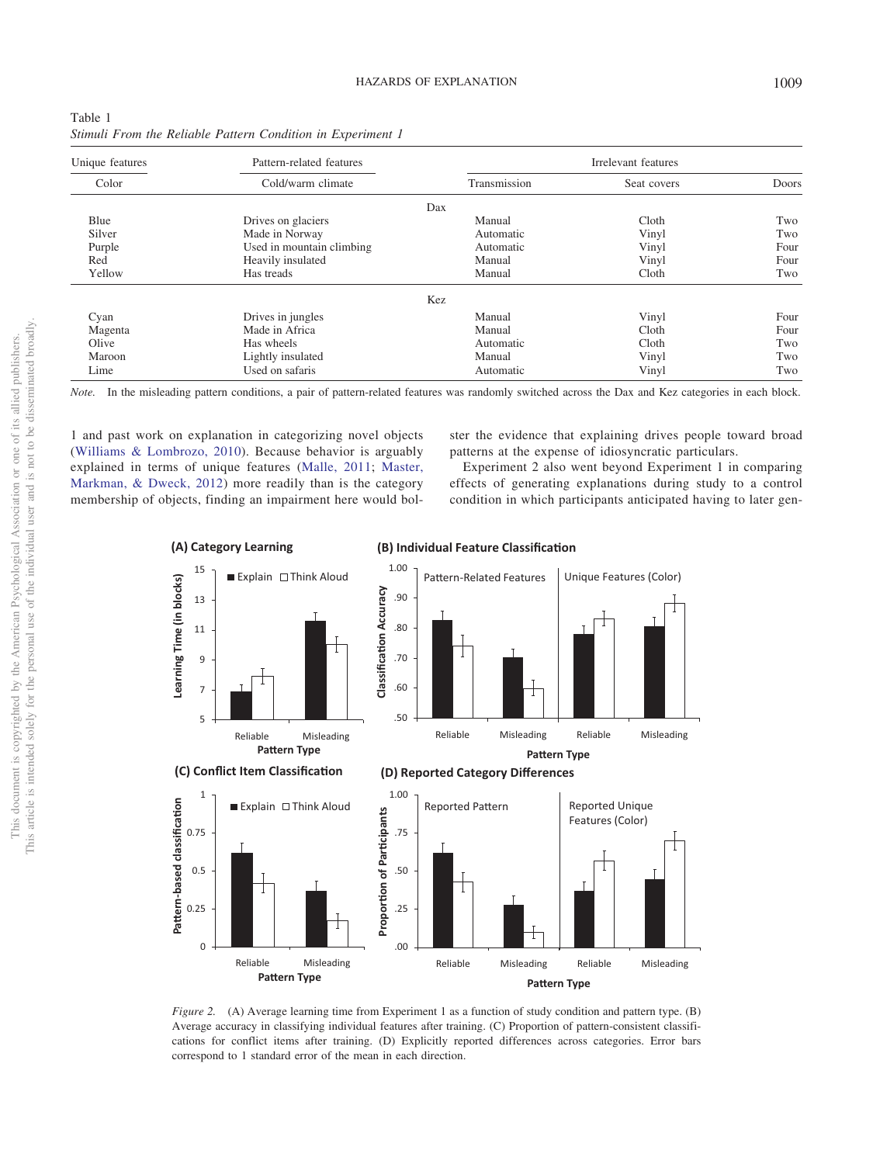| Unique features | Pattern-related features  |              | Irrelevant features |       |
|-----------------|---------------------------|--------------|---------------------|-------|
| Color           | Cold/warm climate         | Transmission | Seat covers         | Doors |
|                 |                           | Dax          |                     |       |
| Blue            | Drives on glaciers        | Manual       | Cloth               | Two   |
| Silver          | Made in Norway            | Automatic    | Vinyl               | Two   |
| Purple          | Used in mountain climbing | Automatic    | Vinyl               | Four  |
| Red             | Heavily insulated         | Manual       | Vinyl               | Four  |
| Yellow          | Has treads                | Manual       | Cloth               | Two   |
|                 |                           | Kez          |                     |       |
| Cyan            | Drives in jungles         | Manual       | Vinyl               | Four  |
| Magenta         | Made in Africa            | Manual       | Cloth               | Four  |
| Olive           | Has wheels                | Automatic    | Cloth               | Two   |
| Maroon          | Lightly insulated         | Manual       | Vinyl               | Two   |
| Lime            | Used on safaris           | Automatic    | Vinyl               | Two   |

| ravit i                                                     |  |  |  |
|-------------------------------------------------------------|--|--|--|
| Stimuli From the Reliable Pattern Condition in Experiment 1 |  |  |  |

<span id="page-3-0"></span>Table 1

*Note.* In the misleading pattern conditions, a pair of pattern-related features was randomly switched across the Dax and Kez categories in each block.

1 and past work on explanation in categorizing novel objects [\(Williams & Lombrozo, 2010\)](#page-8-4). Because behavior is arguably explained in terms of unique features [\(Malle, 2011;](#page-7-18) [Master,](#page-7-19) [Markman, & Dweck, 2012\)](#page-7-19) more readily than is the category membership of objects, finding an impairment here would bolster the evidence that explaining drives people toward broad patterns at the expense of idiosyncratic particulars.

Experiment 2 also went beyond Experiment 1 in comparing effects of generating explanations during study to a control condition in which participants anticipated having to later gen-



<span id="page-3-1"></span>*Figure 2.* (A) Average learning time from Experiment 1 as a function of study condition and pattern type. (B) Average accuracy in classifying individual features after training. (C) Proportion of pattern-consistent classifications for conflict items after training. (D) Explicitly reported differences across categories. Error bars correspond to 1 standard error of the mean in each direction.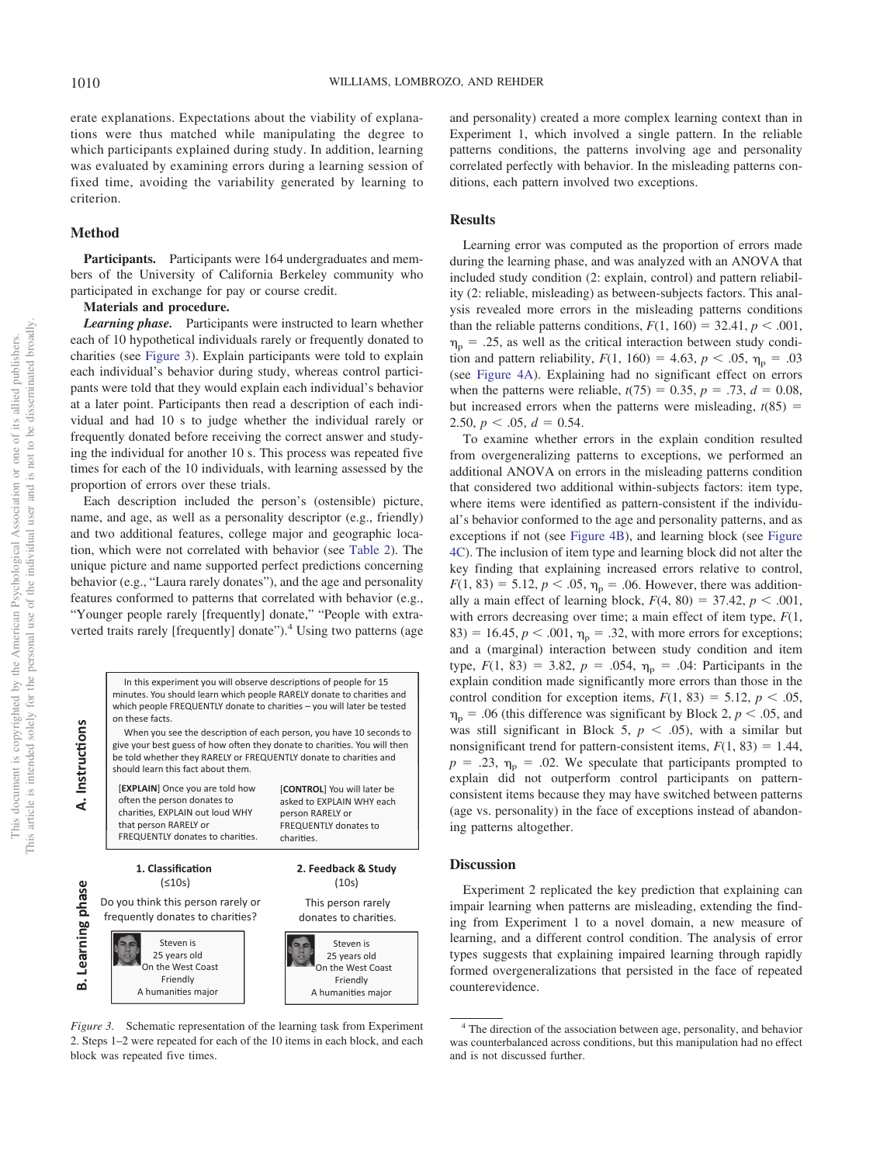erate explanations. Expectations about the viability of explanations were thus matched while manipulating the degree to which participants explained during study. In addition, learning was evaluated by examining errors during a learning session of fixed time, avoiding the variability generated by learning to criterion.

#### **Method**

Participants. Participants were 164 undergraduates and members of the University of California Berkeley community who participated in exchange for pay or course credit.

### **Materials and procedure.**

*Learning phase.* Participants were instructed to learn whether each of 10 hypothetical individuals rarely or frequently donated to charities (see [Figure 3\)](#page-4-0). Explain participants were told to explain each individual's behavior during study, whereas control participants were told that they would explain each individual's behavior at a later point. Participants then read a description of each individual and had 10 s to judge whether the individual rarely or frequently donated before receiving the correct answer and studying the individual for another 10 s. This process was repeated five times for each of the 10 individuals, with learning assessed by the proportion of errors over these trials.

Each description included the person's (ostensible) picture, name, and age, as well as a personality descriptor (e.g., friendly) and two additional features, college major and geographic location, which were not correlated with behavior (see [Table 2\)](#page-5-0). The unique picture and name supported perfect predictions concerning behavior (e.g., "Laura rarely donates"), and the age and personality features conformed to patterns that correlated with behavior (e.g., "Younger people rarely [frequently] donate," "People with extraverted traits rarely [frequently] donate").<sup>4</sup> Using two patterns (age



<span id="page-4-0"></span>*Figure 3.* Schematic representation of the learning task from Experiment 2. Steps 1–2 were repeated for each of the 10 items in each block, and each block was repeated five times.

and personality) created a more complex learning context than in Experiment 1, which involved a single pattern. In the reliable patterns conditions, the patterns involving age and personality correlated perfectly with behavior. In the misleading patterns conditions, each pattern involved two exceptions.

#### **Results**

Learning error was computed as the proportion of errors made during the learning phase, and was analyzed with an ANOVA that included study condition (2: explain, control) and pattern reliability (2: reliable, misleading) as between-subjects factors. This analysis revealed more errors in the misleading patterns conditions than the reliable patterns conditions,  $F(1, 160) = 32.41, p < .001$ ,  $\eta_{\rm p} = .25$ , as well as the critical interaction between study condition and pattern reliability,  $F(1, 160) = 4.63$ ,  $p < .05$ ,  $\eta_p = .03$ (see [Figure 4A\)](#page-6-0). Explaining had no significant effect on errors when the patterns were reliable,  $t(75) = 0.35$ ,  $p = .73$ ,  $d = 0.08$ , but increased errors when the patterns were misleading,  $t(85)$  =  $2.50, p < .05, d = 0.54.$ 

To examine whether errors in the explain condition resulted from overgeneralizing patterns to exceptions, we performed an additional ANOVA on errors in the misleading patterns condition that considered two additional within-subjects factors: item type, where items were identified as pattern-consistent if the individual's behavior conformed to the age and personality patterns, and as exceptions if not (see [Figure 4B\)](#page-6-0), and learning block (see [Figure](#page-6-0) [4C\)](#page-6-0). The inclusion of item type and learning block did not alter the key finding that explaining increased errors relative to control,  $F(1, 83) = 5.12, p < .05, \eta_p = .06$ . However, there was additionally a main effect of learning block,  $F(4, 80) = 37.42$ ,  $p < .001$ , with errors decreasing over time; a main effect of item type, *F*(1,  $83$ ) = 16.45,  $p < .001$ ,  $\eta_p = .32$ , with more errors for exceptions; and a (marginal) interaction between study condition and item type,  $F(1, 83) = 3.82$ ,  $p = .054$ ,  $\eta_p = .04$ : Participants in the explain condition made significantly more errors than those in the control condition for exception items,  $F(1, 83) = 5.12$ ,  $p < .05$ ,  $n_p$  = .06 (this difference was significant by Block 2,  $p < .05$ , and was still significant in Block 5,  $p < .05$ ), with a similar but nonsignificant trend for pattern-consistent items,  $F(1, 83) = 1.44$ ,  $p = .23$ ,  $\eta_p = .02$ . We speculate that participants prompted to explain did not outperform control participants on patternconsistent items because they may have switched between patterns (age vs. personality) in the face of exceptions instead of abandoning patterns altogether.

#### **Discussion**

Experiment 2 replicated the key prediction that explaining can impair learning when patterns are misleading, extending the finding from Experiment 1 to a novel domain, a new measure of learning, and a different control condition. The analysis of error types suggests that explaining impaired learning through rapidly formed overgeneralizations that persisted in the face of repeated counterevidence.

<sup>4</sup> The direction of the association between age, personality, and behavior was counterbalanced across conditions, but this manipulation had no effect and is not discussed further.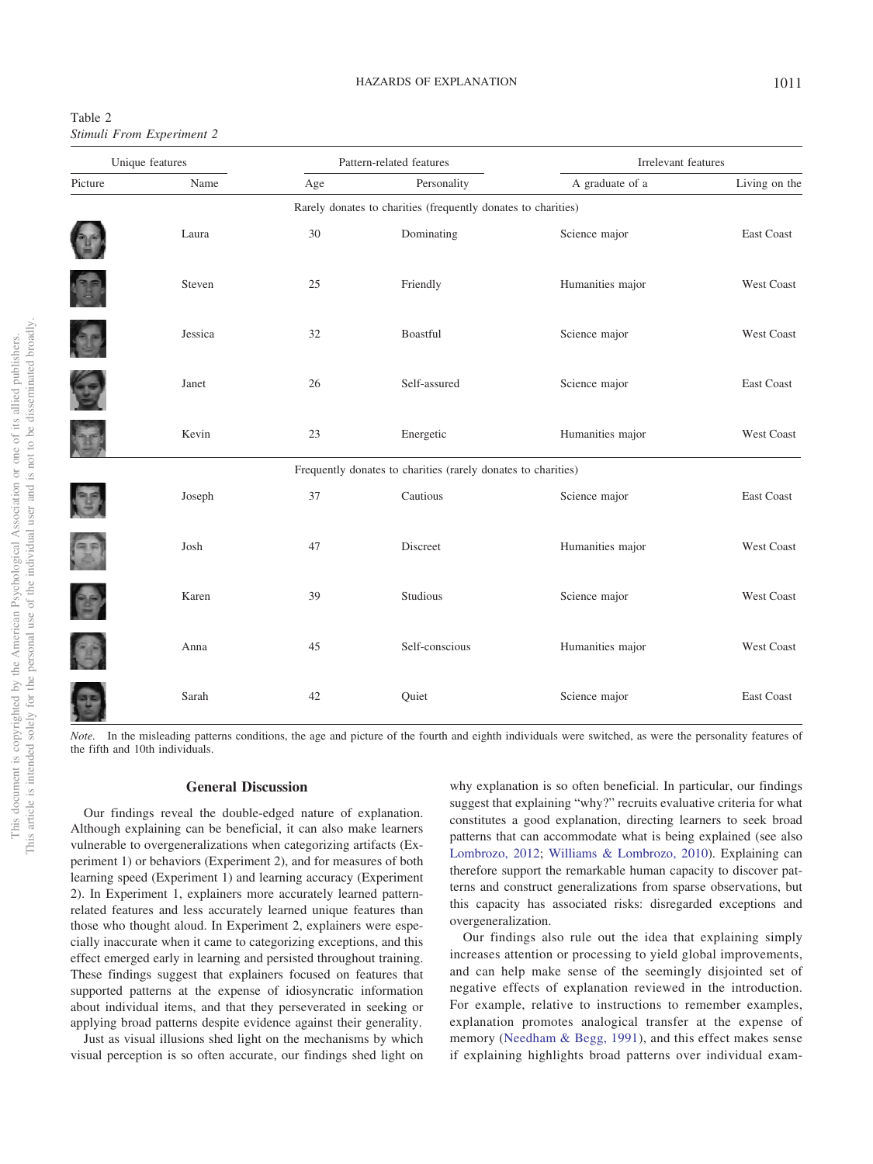<span id="page-5-0"></span>

| Table 2 |                           |  |
|---------|---------------------------|--|
|         | Stimuli From Experiment 2 |  |

| Unique features |         | Pattern-related features |                                                               |                  | Irrelevant features |  |  |
|-----------------|---------|--------------------------|---------------------------------------------------------------|------------------|---------------------|--|--|
| Picture         | Name    | Age                      | Personality                                                   | A graduate of a  | Living on the       |  |  |
|                 |         |                          | Rarely donates to charities (frequently donates to charities) |                  |                     |  |  |
|                 | Laura   | $30\,$                   | Dominating                                                    | Science major    | East Coast          |  |  |
| O               | Steven  | 25                       | Friendly                                                      | Humanities major | <b>West Coast</b>   |  |  |
| <b>R</b>        | Jessica | 32                       | Boastful                                                      | Science major    | <b>West Coast</b>   |  |  |
| C               | Janet   | 26                       | Self-assured                                                  | Science major    | East Coast          |  |  |
| E               | Kevin   | 23                       | Energetic                                                     | Humanities major | West Coast          |  |  |
|                 |         |                          | Frequently donates to charities (rarely donates to charities) |                  |                     |  |  |
| <b>P</b>        | Joseph  | 37                       | Cautious                                                      | Science major    | <b>East Coast</b>   |  |  |
| E               | Josh    | 47                       | Discreet                                                      | Humanities major | <b>West Coast</b>   |  |  |
| 25              | Karen   | 39                       | Studious                                                      | Science major    | <b>West Coast</b>   |  |  |
| C               | Anna    | 45                       | Self-conscious                                                | Humanities major | <b>West Coast</b>   |  |  |
|                 | Sarah   | 42                       | Quiet                                                         | Science major    | East Coast          |  |  |

*Note.* In the misleading patterns conditions, the age and picture of the fourth and eighth individuals were switched, as were the personality features of the fifth and 10th individuals.

#### **General Discussion**

Our findings reveal the double-edged nature of explanation. Although explaining can be beneficial, it can also make learners vulnerable to overgeneralizations when categorizing artifacts (Experiment 1) or behaviors (Experiment 2), and for measures of both learning speed (Experiment 1) and learning accuracy (Experiment 2). In Experiment 1, explainers more accurately learned patternrelated features and less accurately learned unique features than those who thought aloud. In Experiment 2, explainers were especially inaccurate when it came to categorizing exceptions, and this effect emerged early in learning and persisted throughout training. These findings suggest that explainers focused on features that supported patterns at the expense of idiosyncratic information about individual items, and that they perseverated in seeking or applying broad patterns despite evidence against their generality.

Just as visual illusions shed light on the mechanisms by which visual perception is so often accurate, our findings shed light on why explanation is so often beneficial. In particular, our findings suggest that explaining "why?" recruits evaluative criteria for what constitutes a good explanation, directing learners to seek broad patterns that can accommodate what is being explained (see also [Lombrozo, 2012;](#page-7-20) [Williams & Lombrozo, 2010\)](#page-8-4). Explaining can therefore support the remarkable human capacity to discover patterns and construct generalizations from sparse observations, but this capacity has associated risks: disregarded exceptions and overgeneralization.

Our findings also rule out the idea that explaining simply increases attention or processing to yield global improvements, and can help make sense of the seemingly disjointed set of negative effects of explanation reviewed in the introduction. For example, relative to instructions to remember examples, explanation promotes analogical transfer at the expense of memory [\(Needham & Begg, 1991\)](#page-7-8), and this effect makes sense if explaining highlights broad patterns over individual exam-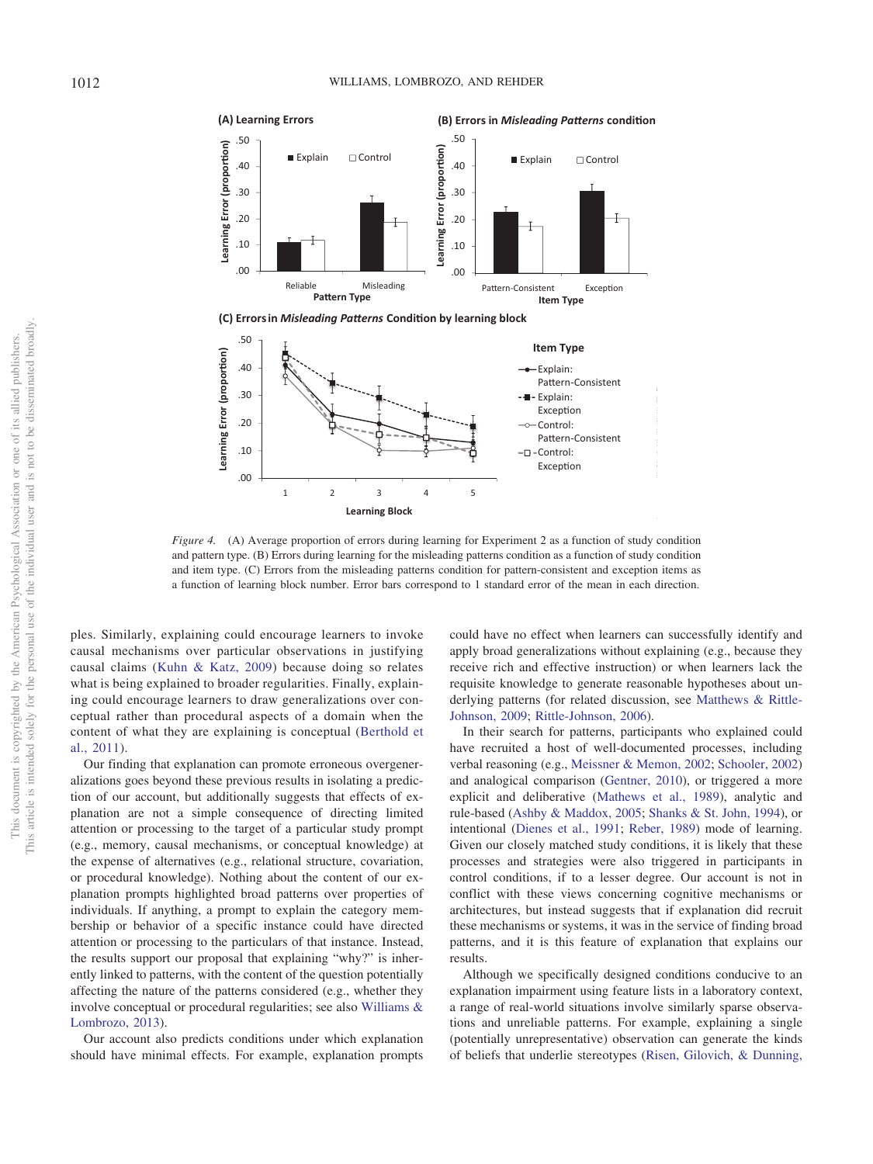



<span id="page-6-0"></span>*Figure 4.* (A) Average proportion of errors during learning for Experiment 2 as a function of study condition and pattern type. (B) Errors during learning for the misleading patterns condition as a function of study condition and item type. (C) Errors from the misleading patterns condition for pattern-consistent and exception items as a function of learning block number. Error bars correspond to 1 standard error of the mean in each direction.

ples. Similarly, explaining could encourage learners to invoke causal mechanisms over particular observations in justifying causal claims [\(Kuhn & Katz, 2009\)](#page-7-9) because doing so relates what is being explained to broader regularities. Finally, explaining could encourage learners to draw generalizations over conceptual rather than procedural aspects of a domain when the content of what they are explaining is conceptual [\(Berthold et](#page-7-10) [al., 2011\)](#page-7-10).

Our finding that explanation can promote erroneous overgeneralizations goes beyond these previous results in isolating a prediction of our account, but additionally suggests that effects of explanation are not a simple consequence of directing limited attention or processing to the target of a particular study prompt (e.g., memory, causal mechanisms, or conceptual knowledge) at the expense of alternatives (e.g., relational structure, covariation, or procedural knowledge). Nothing about the content of our explanation prompts highlighted broad patterns over properties of individuals. If anything, a prompt to explain the category membership or behavior of a specific instance could have directed attention or processing to the particulars of that instance. Instead, the results support our proposal that explaining "why?" is inherently linked to patterns, with the content of the question potentially affecting the nature of the patterns considered (e.g., whether they involve conceptual or procedural regularities; see also [Williams &](#page-8-6) [Lombrozo, 2013\)](#page-8-6).

Our account also predicts conditions under which explanation should have minimal effects. For example, explanation prompts could have no effect when learners can successfully identify and apply broad generalizations without explaining (e.g., because they receive rich and effective instruction) or when learners lack the requisite knowledge to generate reasonable hypotheses about underlying patterns (for related discussion, see [Matthews & Rittle-](#page-7-21)[Johnson, 2009;](#page-7-21) [Rittle-Johnson, 2006\)](#page-7-22).

In their search for patterns, participants who explained could have recruited a host of well-documented processes, including verbal reasoning (e.g., [Meissner & Memon, 2002;](#page-7-23) [Schooler, 2002\)](#page-7-24) and analogical comparison [\(Gentner, 2010\)](#page-7-25), or triggered a more explicit and deliberative [\(Mathews et al., 1989\)](#page-7-16), analytic and rule-based [\(Ashby & Maddox, 2005;](#page-7-14) [Shanks & St. John, 1994\)](#page-7-26), or intentional [\(Dienes et al., 1991;](#page-7-27) [Reber, 1989\)](#page-7-28) mode of learning. Given our closely matched study conditions, it is likely that these processes and strategies were also triggered in participants in control conditions, if to a lesser degree. Our account is not in conflict with these views concerning cognitive mechanisms or architectures, but instead suggests that if explanation did recruit these mechanisms or systems, it was in the service of finding broad patterns, and it is this feature of explanation that explains our results.

Although we specifically designed conditions conducive to an explanation impairment using feature lists in a laboratory context, a range of real-world situations involve similarly sparse observations and unreliable patterns. For example, explaining a single (potentially unrepresentative) observation can generate the kinds of beliefs that underlie stereotypes [\(Risen, Gilovich, & Dunning,](#page-7-29)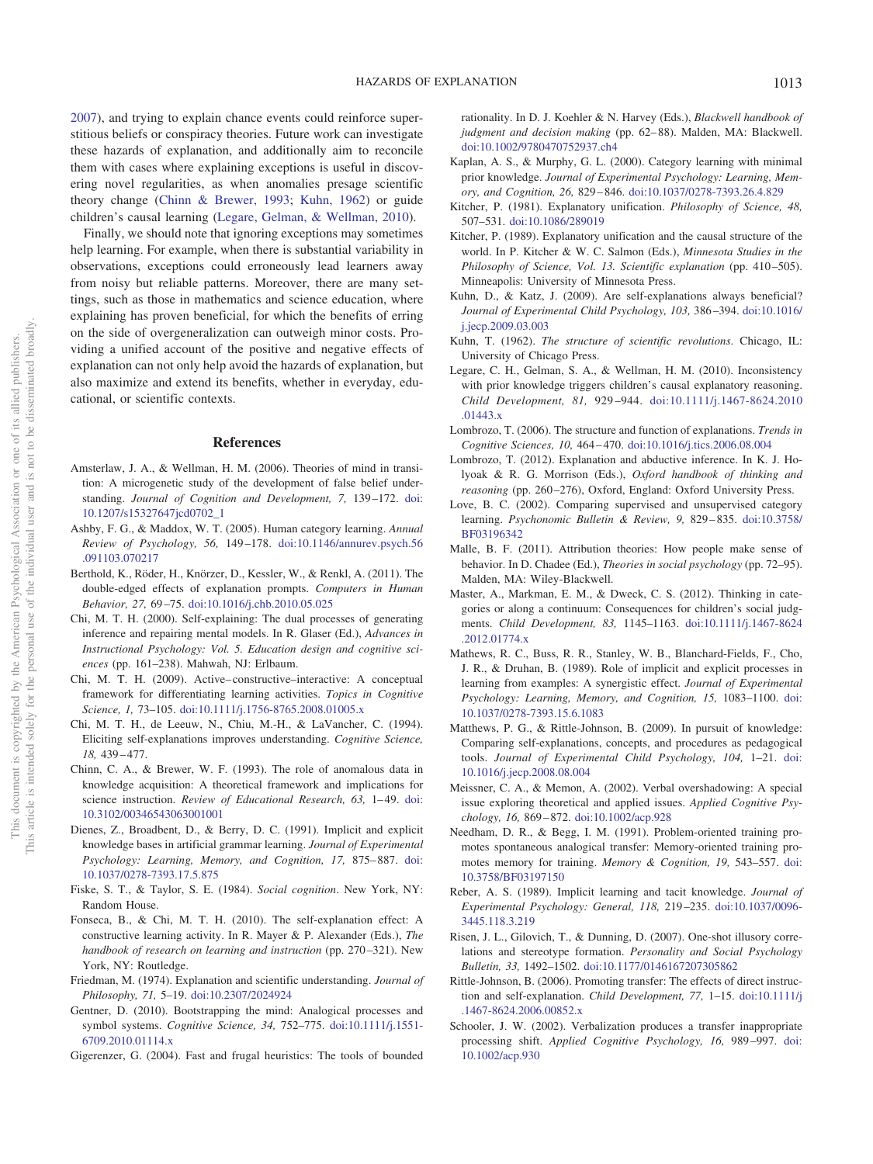<span id="page-7-26"></span>[2007\)](#page-7-29), and trying to explain chance events could reinforce superstitious beliefs or conspiracy theories. Future work can investigate these hazards of explanation, and additionally aim to reconcile them with cases where explaining exceptions is useful in discovering novel regularities, as when anomalies presage scientific theory change [\(Chinn & Brewer, 1993;](#page-7-30) [Kuhn, 1962\)](#page-7-31) or guide children's causal learning [\(Legare, Gelman, & Wellman, 2010\)](#page-7-32).

Finally, we should note that ignoring exceptions may sometimes help learning. For example, when there is substantial variability in observations, exceptions could erroneously lead learners away from noisy but reliable patterns. Moreover, there are many settings, such as those in mathematics and science education, where explaining has proven beneficial, for which the benefits of erring on the side of overgeneralization can outweigh minor costs. Providing a unified account of the positive and negative effects of explanation can not only help avoid the hazards of explanation, but also maximize and extend its benefits, whether in everyday, educational, or scientific contexts.

#### **References**

- <span id="page-7-1"></span>Amsterlaw, J. A., & Wellman, H. M. (2006). Theories of mind in transition: A microgenetic study of the development of false belief understanding. *Journal of Cognition and Development, 7,* 139 –172. [doi:](http://dx.doi.org/10.1207/s15327647jcd0702_1) [10.1207/s15327647jcd0702\\_1](http://dx.doi.org/10.1207/s15327647jcd0702_1)
- <span id="page-7-14"></span>Ashby, F. G., & Maddox, W. T. (2005). Human category learning. *Annual Review of Psychology, 56,* 149 –178. [doi:10.1146/annurev.psych.56](http://dx.doi.org/10.1146/annurev.psych.56.091103.070217) [.091103.070217](http://dx.doi.org/10.1146/annurev.psych.56.091103.070217)
- <span id="page-7-10"></span>Berthold, K., Röder, H., Knörzer, D., Kessler, W., & Renkl, A. (2011). The double-edged effects of explanation prompts. *Computers in Human Behavior, 27,* 69 –75. [doi:10.1016/j.chb.2010.05.025](http://dx.doi.org/10.1016/j.chb.2010.05.025)
- <span id="page-7-3"></span>Chi, M. T. H. (2000). Self-explaining: The dual processes of generating inference and repairing mental models. In R. Glaser (Ed.), *Advances in Instructional Psychology: Vol. 5. Education design and cognitive sciences* (pp. 161–238). Mahwah, NJ: Erlbaum.
- <span id="page-7-2"></span>Chi, M. T. H. (2009). Active– constructive–interactive: A conceptual framework for differentiating learning activities. *Topics in Cognitive Science, 1,* 73–105. [doi:10.1111/j.1756-8765.2008.01005.x](http://dx.doi.org/10.1111/j.1756-8765.2008.01005.x)
- <span id="page-7-4"></span>Chi, M. T. H., de Leeuw, N., Chiu, M.-H., & LaVancher, C. (1994). Eliciting self-explanations improves understanding. *Cognitive Science, 18,* 439 – 477.
- <span id="page-7-30"></span>Chinn, C. A., & Brewer, W. F. (1993). The role of anomalous data in knowledge acquisition: A theoretical framework and implications for science instruction. *Review of Educational Research*, 63, 1-49. [doi:](http://dx.doi.org/10.3102/00346543063001001) [10.3102/00346543063001001](http://dx.doi.org/10.3102/00346543063001001)
- <span id="page-7-27"></span>Dienes, Z., Broadbent, D., & Berry, D. C. (1991). Implicit and explicit knowledge bases in artificial grammar learning. *Journal of Experimental Psychology: Learning, Memory, and Cognition, 17,* 875– 887. [doi:](http://dx.doi.org/10.1037/0278-7393.17.5.875) [10.1037/0278-7393.17.5.875](http://dx.doi.org/10.1037/0278-7393.17.5.875)
- <span id="page-7-6"></span>Fiske, S. T., & Taylor, S. E. (1984). *Social cognition*. New York, NY: Random House.
- <span id="page-7-0"></span>Fonseca, B., & Chi, M. T. H. (2010). The self-explanation effect: A constructive learning activity. In R. Mayer & P. Alexander (Eds.), *The handbook of research on learning and instruction* (pp. 270 –321). New York, NY: Routledge.
- <span id="page-7-11"></span>Friedman, M. (1974). Explanation and scientific understanding. *Journal of Philosophy, 71,* 5–19. [doi:10.2307/2024924](http://dx.doi.org/10.2307/2024924)
- <span id="page-7-25"></span>Gentner, D. (2010). Bootstrapping the mind: Analogical processes and symbol systems. *Cognitive Science, 34,* 752–775. [doi:10.1111/j.1551-](http://dx.doi.org/10.1111/j.1551-6709.2010.01114.x) [6709.2010.01114.x](http://dx.doi.org/10.1111/j.1551-6709.2010.01114.x)
- <span id="page-7-7"></span>Gigerenzer, G. (2004). Fast and frugal heuristics: The tools of bounded

rationality. In D. J. Koehler & N. Harvey (Eds.), *Blackwell handbook of judgment and decision making* (pp. 62– 88). Malden, MA: Blackwell. [doi:10.1002/9780470752937.ch4](http://dx.doi.org/10.1002/9780470752937.ch4)

- <span id="page-7-17"></span>Kaplan, A. S., & Murphy, G. L. (2000). Category learning with minimal prior knowledge. *Journal of Experimental Psychology: Learning, Memory, and Cognition, 26,* 829 – 846. [doi:10.1037/0278-7393.26.4.829](http://dx.doi.org/10.1037/0278-7393.26.4.829)
- <span id="page-7-12"></span>Kitcher, P. (1981). Explanatory unification. *Philosophy of Science, 48,* 507–531. [doi:10.1086/289019](http://dx.doi.org/10.1086/289019)
- <span id="page-7-13"></span>Kitcher, P. (1989). Explanatory unification and the causal structure of the world. In P. Kitcher & W. C. Salmon (Eds.), *Minnesota Studies in the* Philosophy of Science, Vol. 13. Scientific explanation (pp. 410-505). Minneapolis: University of Minnesota Press.
- <span id="page-7-9"></span>Kuhn, D., & Katz, J. (2009). Are self-explanations always beneficial? *Journal of Experimental Child Psychology, 103,* 386 –394. [doi:10.1016/](http://dx.doi.org/10.1016/j.jecp.2009.03.003) [j.jecp.2009.03.003](http://dx.doi.org/10.1016/j.jecp.2009.03.003)
- <span id="page-7-31"></span>Kuhn, T. (1962). *The structure of scientific revolutions*. Chicago, IL: University of Chicago Press.
- <span id="page-7-32"></span>Legare, C. H., Gelman, S. A., & Wellman, H. M. (2010). Inconsistency with prior knowledge triggers children's causal explanatory reasoning. *Child Development, 81,* 929 –944. [doi:10.1111/j.1467-8624.2010](http://dx.doi.org/10.1111/j.1467-8624.2010.01443.x) [.01443.x](http://dx.doi.org/10.1111/j.1467-8624.2010.01443.x)
- <span id="page-7-5"></span>Lombrozo, T. (2006). The structure and function of explanations. *Trends in Cognitive Sciences, 10,* 464 – 470. [doi:10.1016/j.tics.2006.08.004](http://dx.doi.org/10.1016/j.tics.2006.08.004)
- <span id="page-7-20"></span>Lombrozo, T. (2012). Explanation and abductive inference. In K. J. Holyoak & R. G. Morrison (Eds.), *Oxford handbook of thinking and* reasoning (pp. 260-276), Oxford, England: Oxford University Press.
- <span id="page-7-15"></span>Love, B. C. (2002). Comparing supervised and unsupervised category learning. *Psychonomic Bulletin & Review, 9,* 829 – 835. [doi:10.3758/](http://dx.doi.org/10.3758/BF03196342) [BF03196342](http://dx.doi.org/10.3758/BF03196342)
- <span id="page-7-18"></span>Malle, B. F. (2011). Attribution theories: How people make sense of behavior. In D. Chadee (Ed.), *Theories in social psychology* (pp. 72–95). Malden, MA: Wiley-Blackwell.
- <span id="page-7-19"></span>Master, A., Markman, E. M., & Dweck, C. S. (2012). Thinking in categories or along a continuum: Consequences for children's social judgments. *Child Development, 83,* 1145–1163. [doi:10.1111/j.1467-8624](http://dx.doi.org/10.1111/j.1467-8624.2012.01774.x) [.2012.01774.x](http://dx.doi.org/10.1111/j.1467-8624.2012.01774.x)
- <span id="page-7-16"></span>Mathews, R. C., Buss, R. R., Stanley, W. B., Blanchard-Fields, F., Cho, J. R., & Druhan, B. (1989). Role of implicit and explicit processes in learning from examples: A synergistic effect. *Journal of Experimental Psychology: Learning, Memory, and Cognition, 15,* 1083–1100. [doi:](http://dx.doi.org/10.1037/0278-7393.15.6.1083) [10.1037/0278-7393.15.6.1083](http://dx.doi.org/10.1037/0278-7393.15.6.1083)
- <span id="page-7-21"></span>Matthews, P. G., & Rittle-Johnson, B. (2009). In pursuit of knowledge: Comparing self-explanations, concepts, and procedures as pedagogical tools. *Journal of Experimental Child Psychology, 104,* 1–21. [doi:](http://dx.doi.org/10.1016/j.jecp.2008.08.004) [10.1016/j.jecp.2008.08.004](http://dx.doi.org/10.1016/j.jecp.2008.08.004)
- <span id="page-7-23"></span>Meissner, C. A., & Memon, A. (2002). Verbal overshadowing: A special issue exploring theoretical and applied issues. *Applied Cognitive Psychology, 16,* 869 – 872. [doi:10.1002/acp.928](http://dx.doi.org/10.1002/acp.928)
- <span id="page-7-8"></span>Needham, D. R., & Begg, I. M. (1991). Problem-oriented training promotes spontaneous analogical transfer: Memory-oriented training promotes memory for training. *Memory & Cognition, 19,* 543–557. [doi:](http://dx.doi.org/10.3758/BF03197150) [10.3758/BF03197150](http://dx.doi.org/10.3758/BF03197150)
- <span id="page-7-28"></span>Reber, A. S. (1989). Implicit learning and tacit knowledge. *Journal of Experimental Psychology: General, 118,* 219 –235. [doi:10.1037/0096-](http://dx.doi.org/10.1037/0096-3445.118.3.219) [3445.118.3.219](http://dx.doi.org/10.1037/0096-3445.118.3.219)
- <span id="page-7-29"></span>Risen, J. L., Gilovich, T., & Dunning, D. (2007). One-shot illusory correlations and stereotype formation. *Personality and Social Psychology Bulletin, 33,* 1492–1502. [doi:10.1177/0146167207305862](http://dx.doi.org/10.1177/0146167207305862)
- <span id="page-7-22"></span>Rittle-Johnson, B. (2006). Promoting transfer: The effects of direct instruction and self-explanation. *Child Development, 77,* 1–15. [doi:10.1111/j](http://dx.doi.org/10.1111/j.1467-8624.2006.00852.x) [.1467-8624.2006.00852.x](http://dx.doi.org/10.1111/j.1467-8624.2006.00852.x)
- <span id="page-7-24"></span>Schooler, J. W. (2002). Verbalization produces a transfer inappropriate processing shift. *Applied Cognitive Psychology, 16,* 989 –997. [doi:](http://dx.doi.org/10.1002/acp.930) [10.1002/acp.930](http://dx.doi.org/10.1002/acp.930)